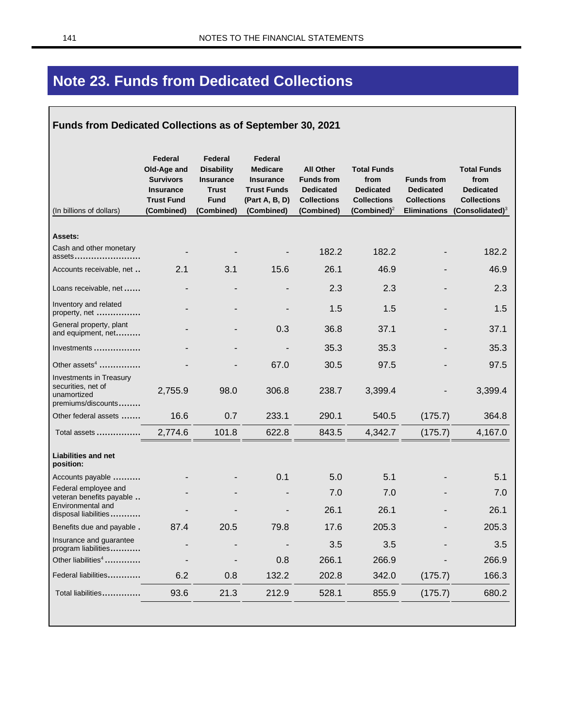# **Note 23. Funds from Dedicated Collections**

#### Funds from Dedicated Collections as of September 30, 2021

| (In billions of dollars)                                                           | Federal<br>Old-Age and<br><b>Survivors</b><br><b>Insurance</b><br><b>Trust Fund</b><br>(Combined) | Federal<br><b>Disability</b><br><b>Insurance</b><br><b>Trust</b><br><b>Fund</b><br>(Combined) | Federal<br><b>Medicare</b><br><b>Insurance</b><br><b>Trust Funds</b><br>(Part A, B, D)<br>(Combined) | <b>All Other</b><br><b>Funds from</b><br><b>Dedicated</b><br><b>Collections</b><br>(Combined) | <b>Total Funds</b><br>from<br><b>Dedicated</b><br><b>Collections</b><br>$(Combined)^2$ | <b>Funds from</b><br><b>Dedicated</b><br><b>Collections</b><br><b>Eliminations</b> | <b>Total Funds</b><br>from<br><b>Dedicated</b><br><b>Collections</b><br>$(C$ onsolidated $)^3$ |
|------------------------------------------------------------------------------------|---------------------------------------------------------------------------------------------------|-----------------------------------------------------------------------------------------------|------------------------------------------------------------------------------------------------------|-----------------------------------------------------------------------------------------------|----------------------------------------------------------------------------------------|------------------------------------------------------------------------------------|------------------------------------------------------------------------------------------------|
|                                                                                    |                                                                                                   |                                                                                               |                                                                                                      |                                                                                               |                                                                                        |                                                                                    |                                                                                                |
| Assets:                                                                            |                                                                                                   |                                                                                               |                                                                                                      |                                                                                               |                                                                                        |                                                                                    |                                                                                                |
| Cash and other monetary<br>assets                                                  |                                                                                                   |                                                                                               |                                                                                                      | 182.2                                                                                         | 182.2                                                                                  |                                                                                    | 182.2                                                                                          |
| Accounts receivable, net                                                           | 2.1                                                                                               | 3.1                                                                                           | 15.6                                                                                                 | 26.1                                                                                          | 46.9                                                                                   |                                                                                    | 46.9                                                                                           |
| Loans receivable, net                                                              |                                                                                                   |                                                                                               |                                                                                                      | 2.3                                                                                           | 2.3                                                                                    |                                                                                    | 2.3                                                                                            |
| Inventory and related<br>property, net                                             |                                                                                                   |                                                                                               |                                                                                                      | 1.5                                                                                           | 1.5                                                                                    |                                                                                    | 1.5                                                                                            |
| General property, plant<br>and equipment, net                                      |                                                                                                   |                                                                                               | 0.3                                                                                                  | 36.8                                                                                          | 37.1                                                                                   |                                                                                    | 37.1                                                                                           |
| Investments                                                                        |                                                                                                   |                                                                                               |                                                                                                      | 35.3                                                                                          | 35.3                                                                                   |                                                                                    | 35.3                                                                                           |
| Other assets <sup>4</sup>                                                          |                                                                                                   |                                                                                               | 67.0                                                                                                 | 30.5                                                                                          | 97.5                                                                                   |                                                                                    | 97.5                                                                                           |
| Investments in Treasury<br>securities, net of<br>unamortized<br>premiums/discounts | 2,755.9                                                                                           | 98.0                                                                                          | 306.8                                                                                                | 238.7                                                                                         | 3,399.4                                                                                |                                                                                    | 3,399.4                                                                                        |
| Other federal assets                                                               | 16.6                                                                                              | 0.7                                                                                           | 233.1                                                                                                | 290.1                                                                                         | 540.5                                                                                  | (175.7)                                                                            | 364.8                                                                                          |
| Total assets                                                                       | 2,774.6                                                                                           | 101.8                                                                                         | 622.8                                                                                                | 843.5                                                                                         | 4,342.7                                                                                | (175.7)                                                                            | 4,167.0                                                                                        |
| Liabilities and net<br>position:                                                   |                                                                                                   |                                                                                               |                                                                                                      |                                                                                               |                                                                                        |                                                                                    |                                                                                                |
| Accounts payable                                                                   |                                                                                                   |                                                                                               | 0.1                                                                                                  | 5.0                                                                                           | 5.1                                                                                    |                                                                                    | 5.1                                                                                            |
| Federal employee and<br>veteran benefits payable                                   |                                                                                                   |                                                                                               |                                                                                                      | 7.0                                                                                           | 7.0                                                                                    |                                                                                    | 7.0                                                                                            |
| Environmental and<br>disposal liabilities                                          |                                                                                                   |                                                                                               |                                                                                                      | 26.1                                                                                          | 26.1                                                                                   |                                                                                    | 26.1                                                                                           |
| Benefits due and payable.                                                          | 87.4                                                                                              | 20.5                                                                                          | 79.8                                                                                                 | 17.6                                                                                          | 205.3                                                                                  |                                                                                    | 205.3                                                                                          |
| Insurance and guarantee<br>program liabilities                                     |                                                                                                   | $\overline{a}$                                                                                |                                                                                                      | 3.5                                                                                           | 3.5                                                                                    |                                                                                    | 3.5                                                                                            |
| Other liabilities <sup>4</sup>                                                     | $\overline{\phantom{0}}$                                                                          |                                                                                               | 0.8                                                                                                  | 266.1                                                                                         | 266.9                                                                                  |                                                                                    | 266.9                                                                                          |
| Federal liabilities                                                                | 6.2                                                                                               | 0.8                                                                                           | 132.2                                                                                                | 202.8                                                                                         | 342.0                                                                                  | (175.7)                                                                            | 166.3                                                                                          |
| Total liabilities                                                                  | 93.6                                                                                              | 21.3                                                                                          | 212.9                                                                                                | 528.1                                                                                         | 855.9                                                                                  | (175.7)                                                                            | 680.2                                                                                          |
|                                                                                    |                                                                                                   |                                                                                               |                                                                                                      |                                                                                               |                                                                                        |                                                                                    |                                                                                                |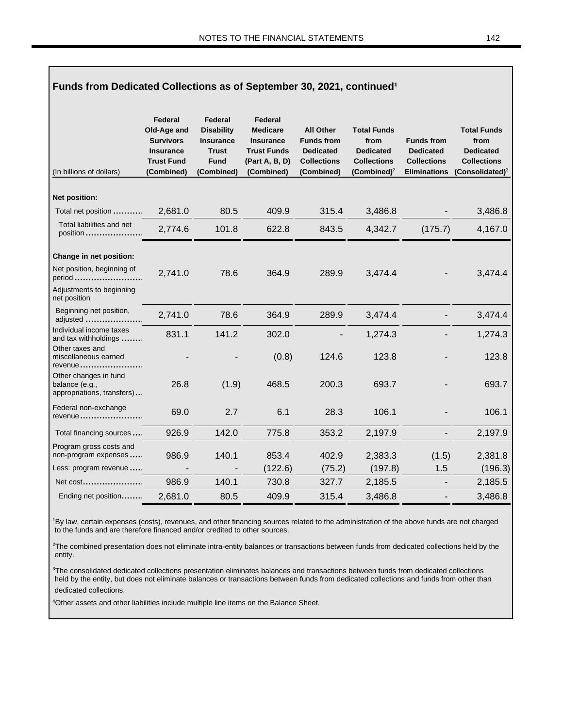Г

| Funds from Dedicated Collections as of September 30, 2021, continued <sup>1</sup> |                                                                                                   |                                                                                               |                                                                                                      |                                                                                               |                                                                                         |                                                                                    |                                                                                            |  |
|-----------------------------------------------------------------------------------|---------------------------------------------------------------------------------------------------|-----------------------------------------------------------------------------------------------|------------------------------------------------------------------------------------------------------|-----------------------------------------------------------------------------------------------|-----------------------------------------------------------------------------------------|------------------------------------------------------------------------------------|--------------------------------------------------------------------------------------------|--|
| (In billions of dollars)                                                          | Federal<br>Old-Age and<br><b>Survivors</b><br><b>Insurance</b><br><b>Trust Fund</b><br>(Combined) | Federal<br><b>Disability</b><br><b>Insurance</b><br><b>Trust</b><br><b>Fund</b><br>(Combined) | Federal<br><b>Medicare</b><br><b>Insurance</b><br><b>Trust Funds</b><br>(Part A, B, D)<br>(Combined) | <b>All Other</b><br><b>Funds from</b><br><b>Dedicated</b><br><b>Collections</b><br>(Combined) | <b>Total Funds</b><br>from<br><b>Dedicated</b><br><b>Collections</b><br>(Combined) $^2$ | <b>Funds from</b><br><b>Dedicated</b><br><b>Collections</b><br><b>Eliminations</b> | <b>Total Funds</b><br>from<br><b>Dedicated</b><br><b>Collections</b><br>(Consolidated) $3$ |  |
| Net position:                                                                     |                                                                                                   |                                                                                               |                                                                                                      |                                                                                               |                                                                                         |                                                                                    |                                                                                            |  |
| Total net position                                                                | 2,681.0                                                                                           | 80.5                                                                                          | 409.9                                                                                                | 315.4                                                                                         | 3,486.8                                                                                 |                                                                                    | 3,486.8                                                                                    |  |
| Total liabilities and net<br>position                                             | 2,774.6                                                                                           | 101.8                                                                                         | 622.8                                                                                                | 843.5                                                                                         | 4,342.7                                                                                 | (175.7)                                                                            | 4,167.0                                                                                    |  |
| Change in net position:                                                           |                                                                                                   |                                                                                               |                                                                                                      |                                                                                               |                                                                                         |                                                                                    |                                                                                            |  |
| Net position, beginning of<br>period                                              | 2,741.0                                                                                           | 78.6                                                                                          | 364.9                                                                                                | 289.9                                                                                         | 3,474.4                                                                                 |                                                                                    | 3,474.4                                                                                    |  |
| Adjustments to beginning<br>net position                                          |                                                                                                   |                                                                                               |                                                                                                      |                                                                                               |                                                                                         |                                                                                    |                                                                                            |  |
| Beginning net position,<br>adjusted                                               | 2,741.0                                                                                           | 78.6                                                                                          | 364.9                                                                                                | 289.9                                                                                         | 3,474.4                                                                                 |                                                                                    | 3,474.4                                                                                    |  |
| Individual income taxes<br>and tax withholdings                                   | 831.1                                                                                             | 141.2                                                                                         | 302.0                                                                                                |                                                                                               | 1,274.3                                                                                 |                                                                                    | 1,274.3                                                                                    |  |
| Other taxes and<br>miscellaneous earned<br>revenue                                |                                                                                                   |                                                                                               | (0.8)                                                                                                | 124.6                                                                                         | 123.8                                                                                   |                                                                                    | 123.8                                                                                      |  |
| Other changes in fund<br>balance (e.g.,<br>appropriations, transfers)             | 26.8                                                                                              | (1.9)                                                                                         | 468.5                                                                                                | 200.3                                                                                         | 693.7                                                                                   |                                                                                    | 693.7                                                                                      |  |
| Federal non-exchange<br>revenue                                                   | 69.0                                                                                              | 2.7                                                                                           | 6.1                                                                                                  | 28.3                                                                                          | 106.1                                                                                   |                                                                                    | 106.1                                                                                      |  |
| Total financing sources                                                           | 926.9                                                                                             | 142.0                                                                                         | 775.8                                                                                                | 353.2                                                                                         | 2,197.9                                                                                 |                                                                                    | 2,197.9                                                                                    |  |
| Program gross costs and<br>non-program expenses                                   | 986.9                                                                                             | 140.1                                                                                         | 853.4                                                                                                | 402.9                                                                                         | 2,383.3                                                                                 | (1.5)                                                                              | 2,381.8                                                                                    |  |
| Less: program revenue                                                             |                                                                                                   |                                                                                               | (122.6)                                                                                              | (75.2)                                                                                        | (197.8)                                                                                 | 1.5                                                                                | (196.3)                                                                                    |  |
| Net cost                                                                          | 986.9                                                                                             | 140.1                                                                                         | 730.8                                                                                                | 327.7                                                                                         | 2,185.5                                                                                 |                                                                                    | 2,185.5                                                                                    |  |
| Ending net position                                                               | 2,681.0                                                                                           | 80.5                                                                                          | 409.9                                                                                                | 315.4                                                                                         | 3,486.8                                                                                 |                                                                                    | 3,486.8                                                                                    |  |

<sup>1</sup>By law, certain expenses (costs), revenues, and other financing sources related to the administration of the above funds are not charged to the funds and are therefore financed and/or credited to other sources.

<sup>2</sup>The combined presentation does not eliminate intra-entity balances or transactions between funds from dedicated collections held by the entity.

<sup>3</sup>The consolidated dedicated collections presentation eliminates balances and transactions between funds from dedicated collections held by the entity, but does not eliminate balances or transactions between funds from dedicated collections and funds from other than dedicated collections.

<sup>4</sup>Other assets and other liabilities include multiple line items on the Balance Sheet.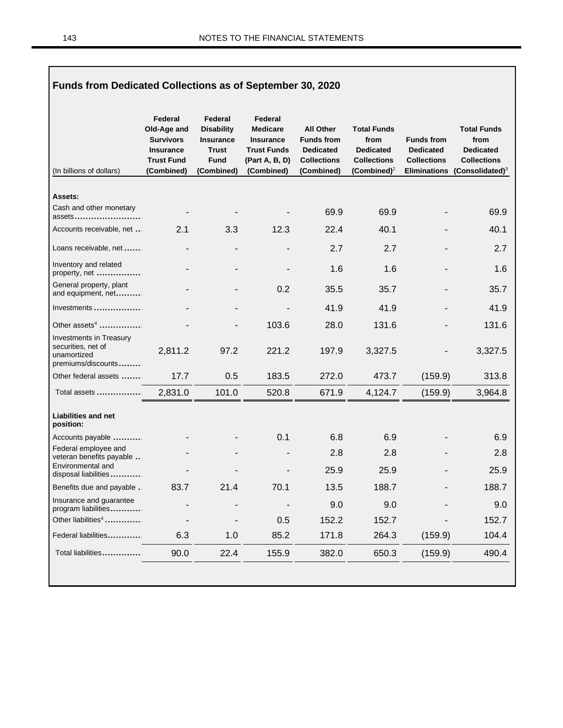| Funds from Dedicated Collections as of September 30, 2020                          |                                                                                                   |                                                                                               |                                                                                                      |                                                                                               |                                                                                         |                                                                                    |                                                                                            |  |  |  |
|------------------------------------------------------------------------------------|---------------------------------------------------------------------------------------------------|-----------------------------------------------------------------------------------------------|------------------------------------------------------------------------------------------------------|-----------------------------------------------------------------------------------------------|-----------------------------------------------------------------------------------------|------------------------------------------------------------------------------------|--------------------------------------------------------------------------------------------|--|--|--|
| (In billions of dollars)                                                           | Federal<br>Old-Age and<br><b>Survivors</b><br><b>Insurance</b><br><b>Trust Fund</b><br>(Combined) | Federal<br><b>Disability</b><br><b>Insurance</b><br><b>Trust</b><br><b>Fund</b><br>(Combined) | Federal<br><b>Medicare</b><br><b>Insurance</b><br><b>Trust Funds</b><br>(Part A, B, D)<br>(Combined) | <b>All Other</b><br><b>Funds from</b><br><b>Dedicated</b><br><b>Collections</b><br>(Combined) | <b>Total Funds</b><br>from<br><b>Dedicated</b><br><b>Collections</b><br>(Combined) $^2$ | <b>Funds from</b><br><b>Dedicated</b><br><b>Collections</b><br><b>Eliminations</b> | <b>Total Funds</b><br>from<br><b>Dedicated</b><br><b>Collections</b><br>$(Consolidated)^3$ |  |  |  |
| Assets:                                                                            |                                                                                                   |                                                                                               |                                                                                                      |                                                                                               |                                                                                         |                                                                                    |                                                                                            |  |  |  |
| Cash and other monetary<br>assets                                                  |                                                                                                   |                                                                                               |                                                                                                      | 69.9                                                                                          | 69.9                                                                                    |                                                                                    | 69.9                                                                                       |  |  |  |
| Accounts receivable, net                                                           | 2.1                                                                                               | 3.3                                                                                           | 12.3                                                                                                 | 22.4                                                                                          | 40.1                                                                                    |                                                                                    | 40.1                                                                                       |  |  |  |
| Loans receivable, net                                                              |                                                                                                   |                                                                                               |                                                                                                      | 2.7                                                                                           | 2.7                                                                                     |                                                                                    | 2.7                                                                                        |  |  |  |
| Inventory and related<br>property, net                                             |                                                                                                   |                                                                                               |                                                                                                      | 1.6                                                                                           | 1.6                                                                                     |                                                                                    | 1.6                                                                                        |  |  |  |
| General property, plant<br>and equipment, net                                      |                                                                                                   |                                                                                               | 0.2                                                                                                  | 35.5                                                                                          | 35.7                                                                                    |                                                                                    | 35.7                                                                                       |  |  |  |
| Investments                                                                        |                                                                                                   |                                                                                               |                                                                                                      | 41.9                                                                                          | 41.9                                                                                    |                                                                                    | 41.9                                                                                       |  |  |  |
| Other assets <sup>4</sup>                                                          |                                                                                                   |                                                                                               | 103.6                                                                                                | 28.0                                                                                          | 131.6                                                                                   |                                                                                    | 131.6                                                                                      |  |  |  |
| Investments in Treasury<br>securities, net of<br>unamortized<br>premiums/discounts | 2,811.2                                                                                           | 97.2                                                                                          | 221.2                                                                                                | 197.9                                                                                         | 3,327.5                                                                                 |                                                                                    | 3,327.5                                                                                    |  |  |  |
| Other federal assets                                                               | 17.7                                                                                              | 0.5                                                                                           | 183.5                                                                                                | 272.0                                                                                         | 473.7                                                                                   | (159.9)                                                                            | 313.8                                                                                      |  |  |  |
| Total assets                                                                       | 2,831.0                                                                                           | 101.0                                                                                         | 520.8                                                                                                | 671.9                                                                                         | 4,124.7                                                                                 | (159.9)                                                                            | 3,964.8                                                                                    |  |  |  |
| <b>Liabilities and net</b><br>position:                                            |                                                                                                   |                                                                                               |                                                                                                      |                                                                                               |                                                                                         |                                                                                    |                                                                                            |  |  |  |
| Accounts payable                                                                   |                                                                                                   |                                                                                               | 0.1                                                                                                  | 6.8                                                                                           | 6.9                                                                                     |                                                                                    | 6.9                                                                                        |  |  |  |
| Federal employee and<br>veteran benefits payable                                   |                                                                                                   |                                                                                               |                                                                                                      | 2.8                                                                                           | 2.8                                                                                     |                                                                                    | 2.8                                                                                        |  |  |  |
| Environmental and<br>disposal liabilities                                          |                                                                                                   |                                                                                               |                                                                                                      | 25.9                                                                                          | 25.9                                                                                    |                                                                                    | 25.9                                                                                       |  |  |  |
| Benefits due and payable.                                                          | 83.7                                                                                              | 21.4                                                                                          | 70.1                                                                                                 | 13.5                                                                                          | 188.7                                                                                   |                                                                                    | 188.7                                                                                      |  |  |  |
| Insurance and guarantee<br>program liabilities                                     |                                                                                                   |                                                                                               |                                                                                                      | 9.0                                                                                           | 9.0                                                                                     |                                                                                    | 9.0                                                                                        |  |  |  |
| Other liabilities <sup>4</sup>                                                     |                                                                                                   |                                                                                               | 0.5                                                                                                  | 152.2                                                                                         | 152.7                                                                                   |                                                                                    | 152.7                                                                                      |  |  |  |
| Federal liabilities                                                                | 6.3                                                                                               | 1.0                                                                                           | 85.2                                                                                                 | 171.8                                                                                         | 264.3                                                                                   | (159.9)                                                                            | 104.4                                                                                      |  |  |  |
| Total liabilities                                                                  | 90.0                                                                                              | 22.4                                                                                          | 155.9                                                                                                | 382.0                                                                                         | 650.3                                                                                   | (159.9)                                                                            | 490.4                                                                                      |  |  |  |
|                                                                                    |                                                                                                   |                                                                                               |                                                                                                      |                                                                                               |                                                                                         |                                                                                    |                                                                                            |  |  |  |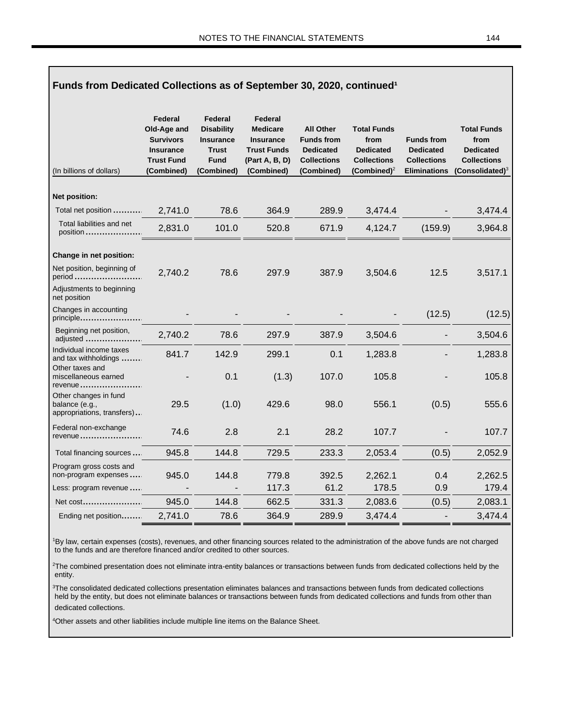Г

| Funds from Dedicated Collections as of September 30, 2020, continued <sup>1</sup> |                                                                                                   |                                                                                               |                                                                                                      |                                                                                               |                                                                                         |                                                                                    |                                                                                            |  |
|-----------------------------------------------------------------------------------|---------------------------------------------------------------------------------------------------|-----------------------------------------------------------------------------------------------|------------------------------------------------------------------------------------------------------|-----------------------------------------------------------------------------------------------|-----------------------------------------------------------------------------------------|------------------------------------------------------------------------------------|--------------------------------------------------------------------------------------------|--|
| (In billions of dollars)                                                          | Federal<br>Old-Age and<br><b>Survivors</b><br><b>Insurance</b><br><b>Trust Fund</b><br>(Combined) | Federal<br><b>Disability</b><br><b>Insurance</b><br><b>Trust</b><br><b>Fund</b><br>(Combined) | Federal<br><b>Medicare</b><br><b>Insurance</b><br><b>Trust Funds</b><br>(Part A, B, D)<br>(Combined) | <b>All Other</b><br><b>Funds from</b><br><b>Dedicated</b><br><b>Collections</b><br>(Combined) | <b>Total Funds</b><br>from<br><b>Dedicated</b><br><b>Collections</b><br>(Combined) $^2$ | <b>Funds from</b><br><b>Dedicated</b><br><b>Collections</b><br><b>Eliminations</b> | <b>Total Funds</b><br>from<br><b>Dedicated</b><br><b>Collections</b><br>(Consolidated) $3$ |  |
| Net position:                                                                     |                                                                                                   |                                                                                               |                                                                                                      |                                                                                               |                                                                                         |                                                                                    |                                                                                            |  |
| Total net position                                                                | 2,741.0                                                                                           | 78.6                                                                                          | 364.9                                                                                                | 289.9                                                                                         | 3,474.4                                                                                 |                                                                                    | 3,474.4                                                                                    |  |
| Total liabilities and net<br>position                                             | 2,831.0                                                                                           | 101.0                                                                                         | 520.8                                                                                                | 671.9                                                                                         | 4,124.7                                                                                 | (159.9)                                                                            | 3,964.8                                                                                    |  |
| Change in net position:                                                           |                                                                                                   |                                                                                               |                                                                                                      |                                                                                               |                                                                                         |                                                                                    |                                                                                            |  |
| Net position, beginning of<br>period                                              | 2,740.2                                                                                           | 78.6                                                                                          | 297.9                                                                                                | 387.9                                                                                         | 3,504.6                                                                                 | 12.5                                                                               | 3,517.1                                                                                    |  |
| Adjustments to beginning<br>net position                                          |                                                                                                   |                                                                                               |                                                                                                      |                                                                                               |                                                                                         |                                                                                    |                                                                                            |  |
| Changes in accounting<br>principle                                                |                                                                                                   |                                                                                               |                                                                                                      |                                                                                               |                                                                                         | (12.5)                                                                             | (12.5)                                                                                     |  |
| Beginning net position,<br>adjusted                                               | 2,740.2                                                                                           | 78.6                                                                                          | 297.9                                                                                                | 387.9                                                                                         | 3,504.6                                                                                 |                                                                                    | 3,504.6                                                                                    |  |
| Individual income taxes<br>and tax withholdings                                   | 841.7                                                                                             | 142.9                                                                                         | 299.1                                                                                                | 0.1                                                                                           | 1,283.8                                                                                 |                                                                                    | 1,283.8                                                                                    |  |
| Other taxes and<br>miscellaneous earned<br>revenue                                |                                                                                                   | 0.1                                                                                           | (1.3)                                                                                                | 107.0                                                                                         | 105.8                                                                                   |                                                                                    | 105.8                                                                                      |  |
| Other changes in fund<br>balance (e.g.,<br>appropriations, transfers)             | 29.5                                                                                              | (1.0)                                                                                         | 429.6                                                                                                | 98.0                                                                                          | 556.1                                                                                   | (0.5)                                                                              | 555.6                                                                                      |  |
| Federal non-exchange<br>revenue                                                   | 74.6                                                                                              | 2.8                                                                                           | 2.1                                                                                                  | 28.2                                                                                          | 107.7                                                                                   |                                                                                    | 107.7                                                                                      |  |
| Total financing sources                                                           | 945.8                                                                                             | 144.8                                                                                         | 729.5                                                                                                | 233.3                                                                                         | 2,053.4                                                                                 | (0.5)                                                                              | 2,052.9                                                                                    |  |
| Program gross costs and<br>non-program expenses                                   | 945.0                                                                                             | 144.8                                                                                         | 779.8                                                                                                | 392.5                                                                                         | 2,262.1                                                                                 | 0.4                                                                                | 2,262.5                                                                                    |  |
| Less: program revenue                                                             |                                                                                                   |                                                                                               | 117.3                                                                                                | 61.2                                                                                          | 178.5                                                                                   | 0.9                                                                                | 179.4                                                                                      |  |
| Net cost                                                                          | 945.0                                                                                             | 144.8                                                                                         | 662.5                                                                                                | 331.3                                                                                         | 2,083.6                                                                                 | (0.5)                                                                              | 2,083.1                                                                                    |  |
| Ending net position                                                               | 2,741.0                                                                                           | 78.6                                                                                          | 364.9                                                                                                | 289.9                                                                                         | 3,474.4                                                                                 | ÷,                                                                                 | 3,474.4                                                                                    |  |

<sup>1</sup>By law, certain expenses (costs), revenues, and other financing sources related to the administration of the above funds are not charged to the funds and are therefore financed and/or credited to other sources.

<sup>2</sup>The combined presentation does not eliminate intra-entity balances or transactions between funds from dedicated collections held by the entity.

<sup>3</sup>The consolidated dedicated collections presentation eliminates balances and transactions between funds from dedicated collections held by the entity, but does not eliminate balances or transactions between funds from dedicated collections and funds from other than dedicated collections.

<sup>4</sup>Other assets and other liabilities include multiple line items on the Balance Sheet.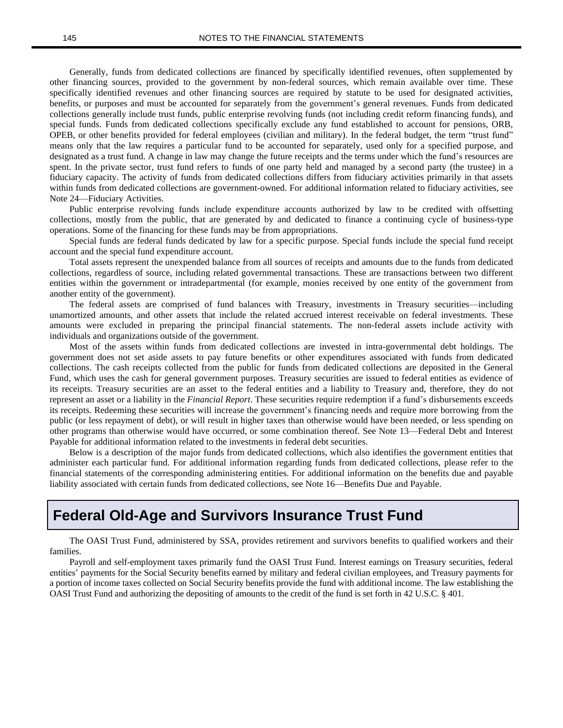Generally, funds from dedicated collections are financed by specifically identified revenues, often supplemented by other financing sources, provided to the government by non-federal sources, which remain available over time. These specifically identified revenues and other financing sources are required by statute to be used for designated activities, benefits, or purposes and must be accounted for separately from the government's general revenues. Funds from dedicated collections generally include trust funds, public enterprise revolving funds (not including credit reform financing funds), and special funds. Funds from dedicated collections specifically exclude any fund established to account for pensions, ORB, OPEB, or other benefits provided for federal employees (civilian and military). In the federal budget, the term "trust fund" means only that the law requires a particular fund to be accounted for separately, used only for a specified purpose, and designated as a trust fund. A change in law may change the future receipts and the terms under which the fund's resources are spent. In the private sector, trust fund refers to funds of one party held and managed by a second party (the trustee) in a fiduciary capacity. The activity of funds from dedicated collections differs from fiduciary activities primarily in that assets within funds from dedicated collections are government-owned. For additional information related to fiduciary activities, see Note 24—Fiduciary Activities.

Public enterprise revolving funds include expenditure accounts authorized by law to be credited with offsetting collections, mostly from the public, that are generated by and dedicated to finance a continuing cycle of business-type operations. Some of the financing for these funds may be from appropriations.

Special funds are federal funds dedicated by law for a specific purpose. Special funds include the special fund receipt account and the special fund expenditure account.

Total assets represent the unexpended balance from all sources of receipts and amounts due to the funds from dedicated collections, regardless of source, including related governmental transactions. These are transactions between two different entities within the government or intradepartmental (for example, monies received by one entity of the government from another entity of the government).

The federal assets are comprised of fund balances with Treasury, investments in Treasury securities—including unamortized amounts, and other assets that include the related accrued interest receivable on federal investments. These amounts were excluded in preparing the principal financial statements. The non-federal assets include activity with individuals and organizations outside of the government.

Most of the assets within funds from dedicated collections are invested in intra-governmental debt holdings. The government does not set aside assets to pay future benefits or other expenditures associated with funds from dedicated collections. The cash receipts collected from the public for funds from dedicated collections are deposited in the General Fund, which uses the cash for general government purposes. Treasury securities are issued to federal entities as evidence of its receipts. Treasury securities are an asset to the federal entities and a liability to Treasury and, therefore, they do not represent an asset or a liability in the *Financial Report*. These securities require redemption if a fund's disbursements exceeds its receipts. Redeeming these securities will increase the government's financing needs and require more borrowing from the public (or less repayment of debt), or will result in higher taxes than otherwise would have been needed, or less spending on other programs than otherwise would have occurred, or some combination thereof. See Note 13—Federal Debt and Interest Payable for additional information related to the investments in federal debt securities.

Below is a description of the major funds from dedicated collections, which also identifies the government entities that administer each particular fund. For additional information regarding funds from dedicated collections, please refer to the financial statements of the corresponding administering entities. For additional information on the benefits due and payable liability associated with certain funds from dedicated collections, see Note 16—Benefits Due and Payable.

#### **Federal Old-Age and Survivors Insurance Trust Fund**

The OASI Trust Fund, administered by SSA, provides retirement and survivors benefits to qualified workers and their families.

Payroll and self-employment taxes primarily fund the OASI Trust Fund. Interest earnings on Treasury securities, federal entities' payments for the Social Security benefits earned by military and federal civilian employees, and Treasury payments for a portion of income taxes collected on Social Security benefits provide the fund with additional income. The law establishing the OASI Trust Fund and authorizing the depositing of amounts to the credit of the fund is set forth in 42 U.S.C. § 401.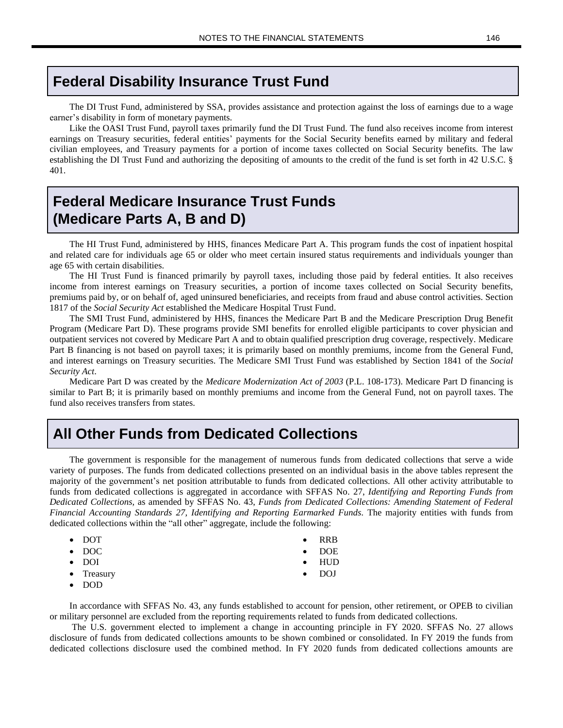#### **Federal Disability Insurance Trust Fund**

The DI Trust Fund, administered by SSA, provides assistance and protection against the loss of earnings due to a wage earner's disability in form of monetary payments.

Like the OASI Trust Fund, payroll taxes primarily fund the DI Trust Fund. The fund also receives income from interest earnings on Treasury securities, federal entities' payments for the Social Security benefits earned by military and federal civilian employees, and Treasury payments for a portion of income taxes collected on Social Security benefits. The law establishing the DI Trust Fund and authorizing the depositing of amounts to the credit of the fund is set forth in 42 U.S.C. § 401.

## **Federal Medicare Insurance Trust Funds (Medicare Parts A, B and D)**

The HI Trust Fund, administered by HHS, finances Medicare Part A. This program funds the cost of inpatient hospital and related care for individuals age 65 or older who meet certain insured status requirements and individuals younger than age 65 with certain disabilities.

The HI Trust Fund is financed primarily by payroll taxes, including those paid by federal entities. It also receives income from interest earnings on Treasury securities, a portion of income taxes collected on Social Security benefits, premiums paid by, or on behalf of, aged uninsured beneficiaries, and receipts from fraud and abuse control activities. Section 1817 of the *Social Security Act* established the Medicare Hospital Trust Fund.

The SMI Trust Fund, administered by HHS, finances the Medicare Part B and the Medicare Prescription Drug Benefit Program (Medicare Part D). These programs provide SMI benefits for enrolled eligible participants to cover physician and outpatient services not covered by Medicare Part A and to obtain qualified prescription drug coverage, respectively. Medicare Part B financing is not based on payroll taxes; it is primarily based on monthly premiums, income from the General Fund, and interest earnings on Treasury securities. The Medicare SMI Trust Fund was established by Section 1841 of the *Social Security Act*.

Medicare Part D was created by the *Medicare Modernization Act of 2003* (P.L. 108-173). Medicare Part D financing is similar to Part B; it is primarily based on monthly premiums and income from the General Fund, not on payroll taxes. The fund also receives transfers from states.

### **All Other Funds from Dedicated Collections**

The government is responsible for the management of numerous funds from dedicated collections that serve a wide variety of purposes. The funds from dedicated collections presented on an individual basis in the above tables represent the majority of the government's net position attributable to funds from dedicated collections. All other activity attributable to funds from dedicated collections is aggregated in accordance with SFFAS No. 27, *Identifying and Reporting Funds from Dedicated Collections,* as amended by SFFAS No. 43, *Funds from Dedicated Collections: Amending Statement of Federal Financial Accounting Standards 27, Identifying and Reporting Earmarked Funds*. The majority entities with funds from dedicated collections within the "all other" aggregate, include the following:

| $\bullet$ DOT      | $\bullet$ | <b>RRB</b>    |
|--------------------|-----------|---------------|
| $\bullet$ DOC      |           | $\bullet$ DOE |
| $\bullet$ DOI      |           | $\bullet$ HUD |
| $\bullet$ Treasury |           | DOJ.          |

• DOD

In accordance with SFFAS No. 43, any funds established to account for pension, other retirement, or OPEB to civilian or military personnel are excluded from the reporting requirements related to funds from dedicated collections.

The U.S. government elected to implement a change in accounting principle in FY 2020. SFFAS No. 27 allows disclosure of funds from dedicated collections amounts to be shown combined or consolidated. In FY 2019 the funds from dedicated collections disclosure used the combined method. In FY 2020 funds from dedicated collections amounts are

- 
- 
-